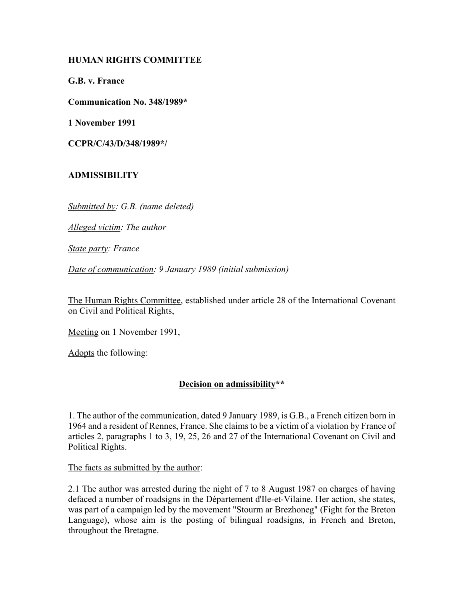## **HUMAN RIGHTS COMMITTEE**

**G.B. v. France**

**Communication No. 348/1989\***

**1 November 1991**

**CCPR/C/43/D/348/1989\*/**

## **ADMISSIBILITY**

*Submitted by: G.B. (name deleted)*

*Alleged victim: The author*

*State party: France*

*Date of communication: 9 January 1989 (initial submission)*

The Human Rights Committee, established under article 28 of the International Covenant on Civil and Political Rights,

Meeting on 1 November 1991,

Adopts the following:

## **Decision on admissibility\*\***

1. The author of the communication, dated 9 January 1989, is G.B., a French citizen born in 1964 and a resident of Rennes, France. She claims to be a victim of a violation by France of articles 2, paragraphs 1 to 3, 19, 25, 26 and 27 of the International Covenant on Civil and Political Rights.

The facts as submitted by the author:

2.1 The author was arrested during the night of 7 to 8 August 1987 on charges of having defaced a number of roadsigns in the Département d'Ile-et-Vilaine. Her action, she states, was part of a campaign led by the movement "Stourm ar Brezhoneg" (Fight for the Breton Language), whose aim is the posting of bilingual roadsigns, in French and Breton, throughout the Bretagne.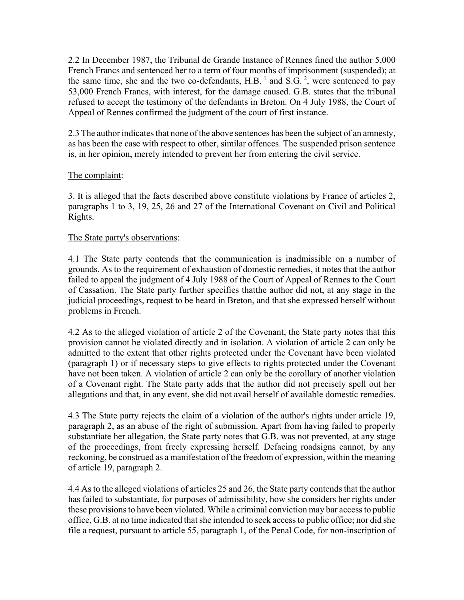2.2 In December 1987, the Tribunal de Grande Instance of Rennes fined the author 5,000 French Francs and sentenced her to a term of four months of imprisonment (suspended); at the same time, she and the two co-defendants,  $H.B.$ <sup>1</sup> and  $S.G.$ <sup>2</sup>, were sentenced to pay 53,000 French Francs, with interest, for the damage caused. G.B. states that the tribunal refused to accept the testimony of the defendants in Breton. On 4 July 1988, the Court of Appeal of Rennes confirmed the judgment of the court of first instance.

2.3 The author indicates that none of the above sentences has been the subject of an amnesty, as has been the case with respect to other, similar offences. The suspended prison sentence is, in her opinion, merely intended to prevent her from entering the civil service.

## The complaint:

3. It is alleged that the facts described above constitute violations by France of articles 2, paragraphs 1 to 3, 19, 25, 26 and 27 of the International Covenant on Civil and Political Rights.

## The State party's observations:

4.1 The State party contends that the communication is inadmissible on a number of grounds. As to the requirement of exhaustion of domestic remedies, it notes that the author failed to appeal the judgment of 4 July 1988 of the Court of Appeal of Rennes to the Court of Cassation. The State party further specifies thatthe author did not, at any stage in the judicial proceedings, request to be heard in Breton, and that she expressed herself without problems in French.

4.2 As to the alleged violation of article 2 of the Covenant, the State party notes that this provision cannot be violated directly and in isolation. A violation of article 2 can only be admitted to the extent that other rights protected under the Covenant have been violated (paragraph 1) or if necessary steps to give effects to rights protected under the Covenant have not been taken. A violation of article 2 can only be the corollary of another violation of a Covenant right. The State party adds that the author did not precisely spell out her allegations and that, in any event, she did not avail herself of available domestic remedies.

4.3 The State party rejects the claim of a violation of the author's rights under article 19, paragraph 2, as an abuse of the right of submission. Apart from having failed to properly substantiate her allegation, the State party notes that G.B. was not prevented, at any stage of the proceedings, from freely expressing herself. Defacing roadsigns cannot, by any reckoning, be construed as a manifestation of the freedom of expression, within the meaning of article 19, paragraph 2.

4.4 As to the alleged violations of articles 25 and 26, the State party contends that the author has failed to substantiate, for purposes of admissibility, how she considers her rights under these provisions to have been violated. While a criminal conviction may bar access to public office, G.B. at no time indicated that she intended to seek access to public office; nor did she file a request, pursuant to article 55, paragraph 1, of the Penal Code, for non-inscription of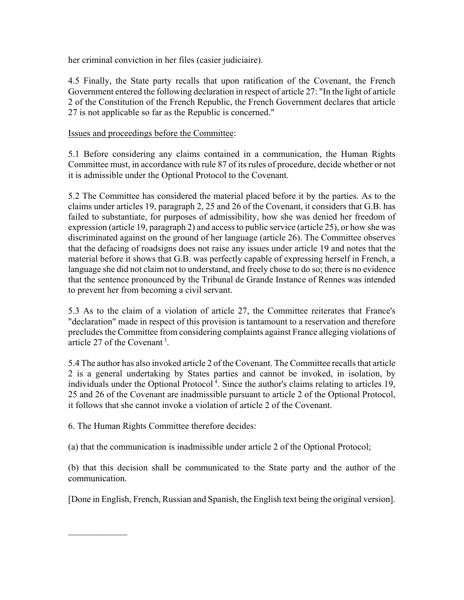her criminal conviction in her files (casier judiciaire).

4.5 Finally, the State party recalls that upon ratification of the Covenant, the French Government entered the following declaration in respect of article 27: "In the light of article 2 of the Constitution of the French Republic, the French Government declares that article 27 is not applicable so far as the Republic is concerned."

#### Issues and proceedings before the Committee:

5.1 Before considering any claims contained in a communication, the Human Rights Committee must, in accordance with rule 87 of its rules of procedure, decide whether or not it is admissible under the Optional Protocol to the Covenant.

5.2 The Committee has considered the material placed before it by the parties. As to the claims under articles 19, paragraph 2, 25 and 26 of the Covenant, it considers that G.B. has failed to substantiate, for purposes of admissibility, how she was denied her freedom of expression (article 19, paragraph 2) and access to public service (article 25), or how she was discriminated against on the ground of her language (article 26). The Committee observes that the defacing of roadsigns does not raise any issues under article 19 and notes that the material before it shows that G.B. was perfectly capable of expressing herself in French, a language she did not claim not to understand, and freely chose to do so; there is no evidence that the sentence pronounced by the Tribunal de Grande Instance of Rennes was intended to prevent her from becoming a civil servant.

5.3 As to the claim of a violation of article 27, the Committee reiterates that France's "declaration" made in respect of this provision is tantamount to a reservation and therefore precludes the Committee from considering complaints against France alleging violations of article 27 of the Covenant<sup>3</sup>

5.4 The author has also invoked article 2 of the Covenant. The Committee recalls that article 2 is a general undertaking by States parties and cannot be invoked, in isolation, by individuals under the Optional Protocol<sup> $4$ </sup>. Since the author's claims relating to articles 19, 25 and 26 of the Covenant are inadmissible pursuant to article 2 of the Optional Protocol, it follows that she cannot invoke a violation of article 2 of the Covenant.

6. The Human Rights Committee therefore decides:

 $\frac{1}{2}$ 

(a) that the communication is inadmissible under article 2 of the Optional Protocol;

(b) that this decision shall be communicated to the State party and the author of the communication.

[Done in English, French, Russian and Spanish, the English text being the original version].